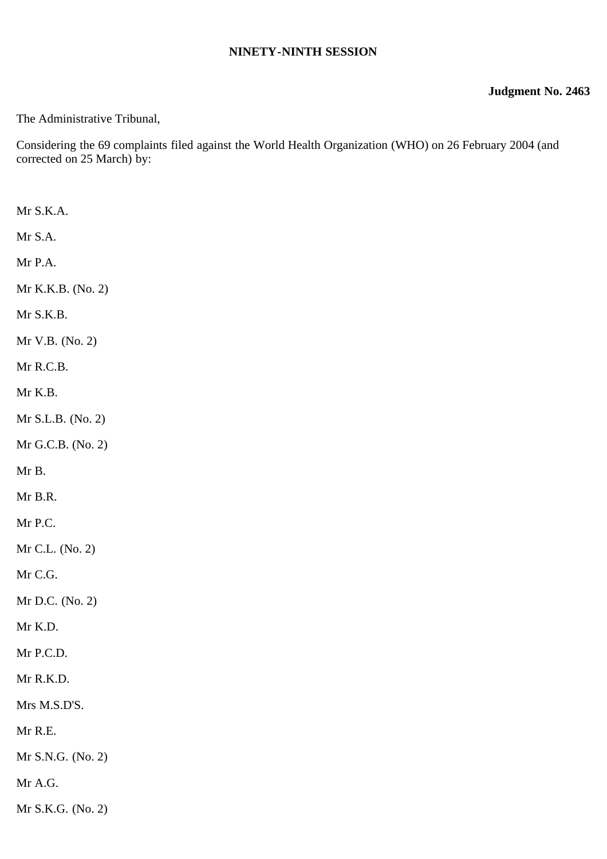## **NINETY-NINTH SESSION**

## **Judgment No. 2463**

The Administrative Tribunal,

Considering the 69 complaints filed against the World Health Organization (WHO) on 26 February 2004 (and corrected on 25 March) by:

| Mr S.K.A.         |
|-------------------|
| Mr S.A.           |
| Mr P.A.           |
| Mr K.K.B. (No. 2) |
| Mr S.K.B.         |
| Mr V.B. (No. 2)   |
| Mr R.C.B.         |
| Mr K.B.           |
| Mr S.L.B. (No. 2) |
| Mr G.C.B. (No. 2) |
| Mr B.             |
| Mr B.R.           |
| Mr P.C.           |
| Mr C.L. (No. 2)   |
| Mr C.G.           |
| Mr D.C. (No. 2)   |
| Mr K.D.           |
| Mr P.C.D.         |
| Mr R.K.D.         |
| Mrs M.S.D'S.      |
| Mr R.E.           |
| Mr S.N.G. (No. 2) |
| Mr A.G.           |
| Mr S.K.G. (No. 2) |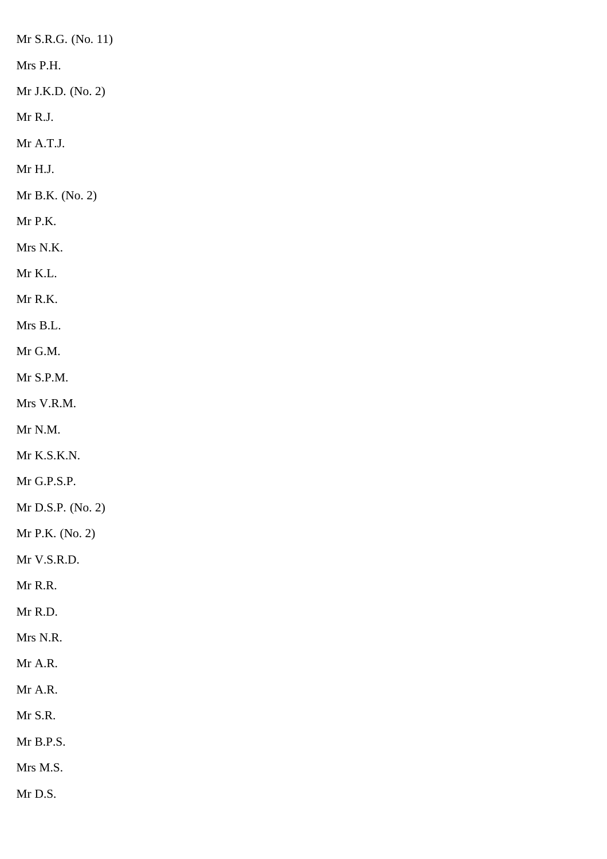Mr S.R.G. (No. 11)

Mrs P.H.

Mr J.K.D. (No. 2)

Mr R.J.

Mr A.T.J.

Mr H.J.

Mr B.K. (No. 2)

Mr P.K.

Mrs N.K.

Mr K.L.

Mr R.K.

Mrs B.L.

Mr G.M.

Mr S.P.M.

Mrs V.R.M.

Mr N.M.

Mr K.S.K.N.

Mr G.P.S.P.

Mr D.S.P. (No. 2)

Mr P.K. (No. 2)

Mr V.S.R.D.

Mr R.R.

Mr R.D.

Mrs N.R.

Mr A.R.

Mr A.R.

Mr S.R.

Mr B.P.S.

Mrs M.S.

Mr D.S.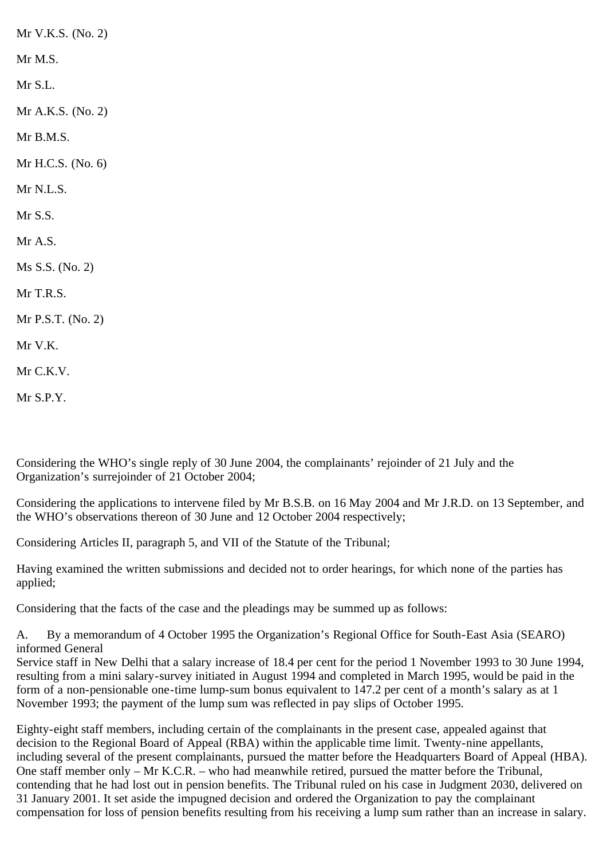Mr V.K.S. (No. 2) Mr M.S. Mr S.L. Mr A.K.S. (No. 2) Mr B.M.S. Mr H.C.S. (No. 6) Mr N.L.S. Mr S.S. Mr A.S. Ms S.S. (No. 2) Mr T.R.S. Mr P.S.T. (No. 2) Mr V.K. Mr C.K.V. Mr S.P.Y.

Considering the WHO's single reply of 30 June 2004, the complainants' rejoinder of 21 July and the Organization's surrejoinder of 21 October 2004;

Considering the applications to intervene filed by Mr B.S.B. on 16 May 2004 and Mr J.R.D. on 13 September, and the WHO's observations thereon of 30 June and 12 October 2004 respectively;

Considering Articles II, paragraph 5, and VII of the Statute of the Tribunal;

Having examined the written submissions and decided not to order hearings, for which none of the parties has applied;

Considering that the facts of the case and the pleadings may be summed up as follows:

A. By a memorandum of 4 October 1995 the Organization's Regional Office for South-East Asia (SEARO) informed General

Service staff in New Delhi that a salary increase of 18.4 per cent for the period 1 November 1993 to 30 June 1994, resulting from a mini salary-survey initiated in August 1994 and completed in March 1995, would be paid in the form of a non-pensionable one-time lump-sum bonus equivalent to 147.2 per cent of a month's salary as at 1 November 1993; the payment of the lump sum was reflected in pay slips of October 1995.

Eighty-eight staff members, including certain of the complainants in the present case, appealed against that decision to the Regional Board of Appeal (RBA) within the applicable time limit. Twenty-nine appellants, including several of the present complainants, pursued the matter before the Headquarters Board of Appeal (HBA). One staff member only – Mr K.C.R. – who had meanwhile retired, pursued the matter before the Tribunal, contending that he had lost out in pension benefits. The Tribunal ruled on his case in Judgment 2030, delivered on 31 January 2001. It set aside the impugned decision and ordered the Organization to pay the complainant compensation for loss of pension benefits resulting from his receiving a lump sum rather than an increase in salary.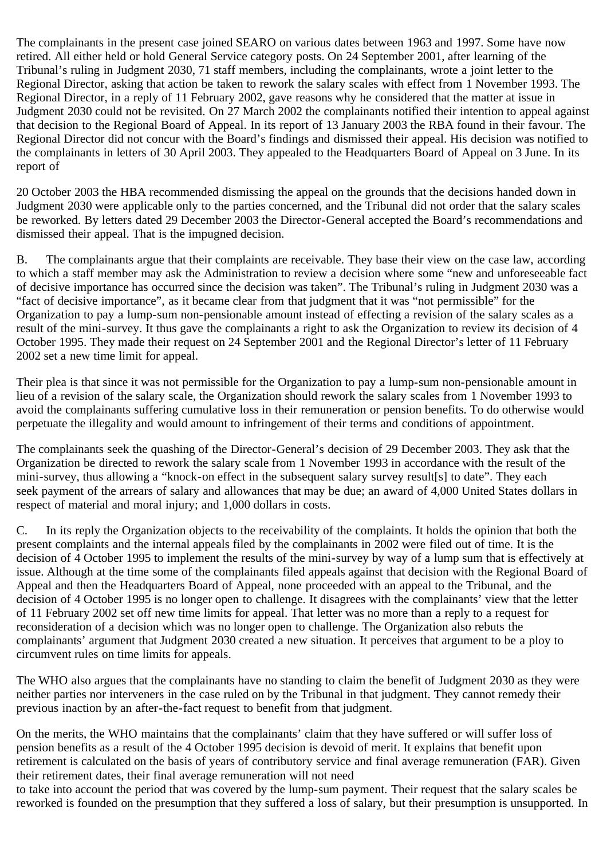The complainants in the present case joined SEARO on various dates between 1963 and 1997. Some have now retired. All either held or hold General Service category posts. On 24 September 2001, after learning of the Tribunal's ruling in Judgment 2030, 71 staff members, including the complainants, wrote a joint letter to the Regional Director, asking that action be taken to rework the salary scales with effect from 1 November 1993. The Regional Director, in a reply of 11 February 2002, gave reasons why he considered that the matter at issue in Judgment 2030 could not be revisited. On 27 March 2002 the complainants notified their intention to appeal against that decision to the Regional Board of Appeal. In its report of 13 January 2003 the RBA found in their favour. The Regional Director did not concur with the Board's findings and dismissed their appeal. His decision was notified to the complainants in letters of 30 April 2003. They appealed to the Headquarters Board of Appeal on 3 June. In its report of

20 October 2003 the HBA recommended dismissing the appeal on the grounds that the decisions handed down in Judgment 2030 were applicable only to the parties concerned, and the Tribunal did not order that the salary scales be reworked. By letters dated 29 December 2003 the Director-General accepted the Board's recommendations and dismissed their appeal. That is the impugned decision.

B. The complainants argue that their complaints are receivable. They base their view on the case law, according to which a staff member may ask the Administration to review a decision where some "new and unforeseeable fact of decisive importance has occurred since the decision was taken". The Tribunal's ruling in Judgment 2030 was a "fact of decisive importance", as it became clear from that judgment that it was "not permissible" for the Organization to pay a lump-sum non-pensionable amount instead of effecting a revision of the salary scales as a result of the mini-survey. It thus gave the complainants a right to ask the Organization to review its decision of 4 October 1995. They made their request on 24 September 2001 and the Regional Director's letter of 11 February 2002 set a new time limit for appeal.

Their plea is that since it was not permissible for the Organization to pay a lump-sum non-pensionable amount in lieu of a revision of the salary scale, the Organization should rework the salary scales from 1 November 1993 to avoid the complainants suffering cumulative loss in their remuneration or pension benefits. To do otherwise would perpetuate the illegality and would amount to infringement of their terms and conditions of appointment.

The complainants seek the quashing of the Director-General's decision of 29 December 2003. They ask that the Organization be directed to rework the salary scale from 1 November 1993 in accordance with the result of the mini-survey, thus allowing a "knock-on effect in the subsequent salary survey result[s] to date". They each seek payment of the arrears of salary and allowances that may be due; an award of 4,000 United States dollars in respect of material and moral injury; and 1,000 dollars in costs.

C. In its reply the Organization objects to the receivability of the complaints. It holds the opinion that both the present complaints and the internal appeals filed by the complainants in 2002 were filed out of time. It is the decision of 4 October 1995 to implement the results of the mini-survey by way of a lump sum that is effectively at issue. Although at the time some of the complainants filed appeals against that decision with the Regional Board of Appeal and then the Headquarters Board of Appeal, none proceeded with an appeal to the Tribunal, and the decision of 4 October 1995 is no longer open to challenge. It disagrees with the complainants' view that the letter of 11 February 2002 set off new time limits for appeal. That letter was no more than a reply to a request for reconsideration of a decision which was no longer open to challenge. The Organization also rebuts the complainants' argument that Judgment 2030 created a new situation. It perceives that argument to be a ploy to circumvent rules on time limits for appeals.

The WHO also argues that the complainants have no standing to claim the benefit of Judgment 2030 as they were neither parties nor interveners in the case ruled on by the Tribunal in that judgment. They cannot remedy their previous inaction by an after-the-fact request to benefit from that judgment.

On the merits, the WHO maintains that the complainants' claim that they have suffered or will suffer loss of pension benefits as a result of the 4 October 1995 decision is devoid of merit. It explains that benefit upon retirement is calculated on the basis of years of contributory service and final average remuneration (FAR). Given their retirement dates, their final average remuneration will not need

to take into account the period that was covered by the lump-sum payment. Their request that the salary scales be reworked is founded on the presumption that they suffered a loss of salary, but their presumption is unsupported. In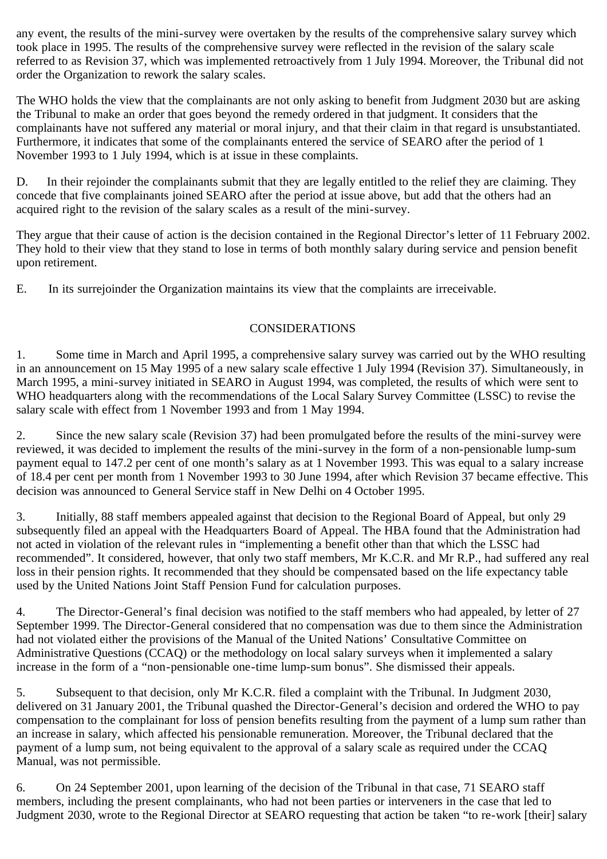any event, the results of the mini-survey were overtaken by the results of the comprehensive salary survey which took place in 1995. The results of the comprehensive survey were reflected in the revision of the salary scale referred to as Revision 37, which was implemented retroactively from 1 July 1994. Moreover, the Tribunal did not order the Organization to rework the salary scales.

The WHO holds the view that the complainants are not only asking to benefit from Judgment 2030 but are asking the Tribunal to make an order that goes beyond the remedy ordered in that judgment. It considers that the complainants have not suffered any material or moral injury, and that their claim in that regard is unsubstantiated. Furthermore, it indicates that some of the complainants entered the service of SEARO after the period of 1 November 1993 to 1 July 1994, which is at issue in these complaints.

D. In their rejoinder the complainants submit that they are legally entitled to the relief they are claiming. They concede that five complainants joined SEARO after the period at issue above, but add that the others had an acquired right to the revision of the salary scales as a result of the mini-survey.

They argue that their cause of action is the decision contained in the Regional Director's letter of 11 February 2002. They hold to their view that they stand to lose in terms of both monthly salary during service and pension benefit upon retirement.

E. In its surrejoinder the Organization maintains its view that the complaints are irreceivable.

## CONSIDERATIONS

1. Some time in March and April 1995, a comprehensive salary survey was carried out by the WHO resulting in an announcement on 15 May 1995 of a new salary scale effective 1 July 1994 (Revision 37). Simultaneously, in March 1995, a mini-survey initiated in SEARO in August 1994, was completed, the results of which were sent to WHO headquarters along with the recommendations of the Local Salary Survey Committee (LSSC) to revise the salary scale with effect from 1 November 1993 and from 1 May 1994.

2. Since the new salary scale (Revision 37) had been promulgated before the results of the mini-survey were reviewed, it was decided to implement the results of the mini-survey in the form of a non-pensionable lump-sum payment equal to 147.2 per cent of one month's salary as at 1 November 1993. This was equal to a salary increase of 18.4 per cent per month from 1 November 1993 to 30 June 1994, after which Revision 37 became effective. This decision was announced to General Service staff in New Delhi on 4 October 1995.

3. Initially, 88 staff members appealed against that decision to the Regional Board of Appeal, but only 29 subsequently filed an appeal with the Headquarters Board of Appeal. The HBA found that the Administration had not acted in violation of the relevant rules in "implementing a benefit other than that which the LSSC had recommended". It considered, however, that only two staff members, Mr K.C.R. and Mr R.P., had suffered any real loss in their pension rights. It recommended that they should be compensated based on the life expectancy table used by the United Nations Joint Staff Pension Fund for calculation purposes.

4. The Director-General's final decision was notified to the staff members who had appealed, by letter of 27 September 1999. The Director-General considered that no compensation was due to them since the Administration had not violated either the provisions of the Manual of the United Nations' Consultative Committee on Administrative Questions (CCAQ) or the methodology on local salary surveys when it implemented a salary increase in the form of a "non-pensionable one-time lump-sum bonus". She dismissed their appeals.

5. Subsequent to that decision, only Mr K.C.R. filed a complaint with the Tribunal. In Judgment 2030, delivered on 31 January 2001, the Tribunal quashed the Director-General's decision and ordered the WHO to pay compensation to the complainant for loss of pension benefits resulting from the payment of a lump sum rather than an increase in salary, which affected his pensionable remuneration. Moreover, the Tribunal declared that the payment of a lump sum, not being equivalent to the approval of a salary scale as required under the CCAQ Manual, was not permissible.

6. On 24 September 2001, upon learning of the decision of the Tribunal in that case, 71 SEARO staff members, including the present complainants, who had not been parties or interveners in the case that led to Judgment 2030, wrote to the Regional Director at SEARO requesting that action be taken "to re-work [their] salary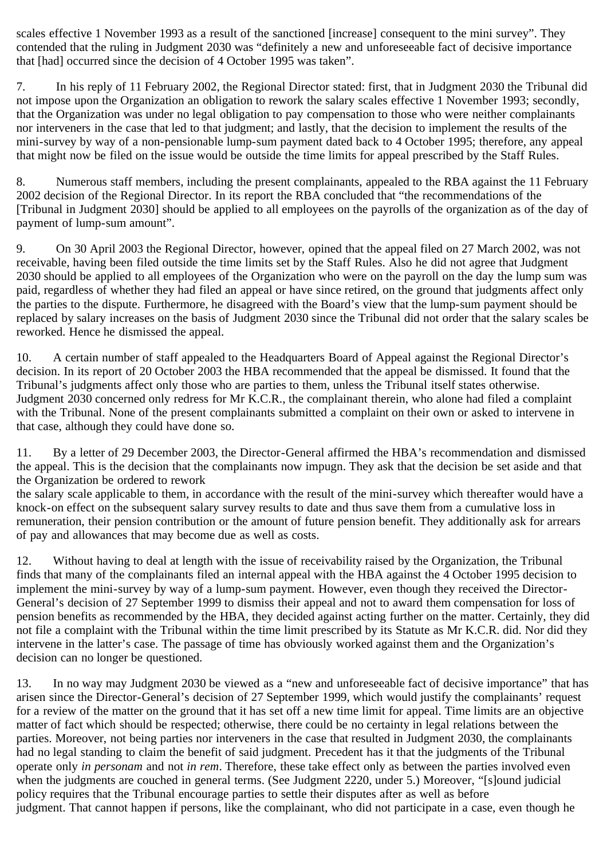scales effective 1 November 1993 as a result of the sanctioned [increase] consequent to the mini survey". They contended that the ruling in Judgment 2030 was "definitely a new and unforeseeable fact of decisive importance that [had] occurred since the decision of 4 October 1995 was taken".

7. In his reply of 11 February 2002, the Regional Director stated: first, that in Judgment 2030 the Tribunal did not impose upon the Organization an obligation to rework the salary scales effective 1 November 1993; secondly, that the Organization was under no legal obligation to pay compensation to those who were neither complainants nor interveners in the case that led to that judgment; and lastly, that the decision to implement the results of the mini-survey by way of a non-pensionable lump-sum payment dated back to 4 October 1995; therefore, any appeal that might now be filed on the issue would be outside the time limits for appeal prescribed by the Staff Rules.

8. Numerous staff members, including the present complainants, appealed to the RBA against the 11 February 2002 decision of the Regional Director. In its report the RBA concluded that "the recommendations of the [Tribunal in Judgment 2030] should be applied to all employees on the payrolls of the organization as of the day of payment of lump-sum amount".

9. On 30 April 2003 the Regional Director, however, opined that the appeal filed on 27 March 2002, was not receivable, having been filed outside the time limits set by the Staff Rules. Also he did not agree that Judgment 2030 should be applied to all employees of the Organization who were on the payroll on the day the lump sum was paid, regardless of whether they had filed an appeal or have since retired, on the ground that judgments affect only the parties to the dispute. Furthermore, he disagreed with the Board's view that the lump-sum payment should be replaced by salary increases on the basis of Judgment 2030 since the Tribunal did not order that the salary scales be reworked. Hence he dismissed the appeal.

10. A certain number of staff appealed to the Headquarters Board of Appeal against the Regional Director's decision. In its report of 20 October 2003 the HBA recommended that the appeal be dismissed. It found that the Tribunal's judgments affect only those who are parties to them, unless the Tribunal itself states otherwise. Judgment 2030 concerned only redress for Mr K.C.R., the complainant therein, who alone had filed a complaint with the Tribunal. None of the present complainants submitted a complaint on their own or asked to intervene in that case, although they could have done so.

11. By a letter of 29 December 2003, the Director-General affirmed the HBA's recommendation and dismissed the appeal. This is the decision that the complainants now impugn. They ask that the decision be set aside and that the Organization be ordered to rework

the salary scale applicable to them, in accordance with the result of the mini-survey which thereafter would have a knock-on effect on the subsequent salary survey results to date and thus save them from a cumulative loss in remuneration, their pension contribution or the amount of future pension benefit. They additionally ask for arrears of pay and allowances that may become due as well as costs.

12. Without having to deal at length with the issue of receivability raised by the Organization, the Tribunal finds that many of the complainants filed an internal appeal with the HBA against the 4 October 1995 decision to implement the mini-survey by way of a lump-sum payment. However, even though they received the Director-General's decision of 27 September 1999 to dismiss their appeal and not to award them compensation for loss of pension benefits as recommended by the HBA, they decided against acting further on the matter. Certainly, they did not file a complaint with the Tribunal within the time limit prescribed by its Statute as Mr K.C.R. did. Nor did they intervene in the latter's case. The passage of time has obviously worked against them and the Organization's decision can no longer be questioned.

13. In no way may Judgment 2030 be viewed as a "new and unforeseeable fact of decisive importance" that has arisen since the Director-General's decision of 27 September 1999, which would justify the complainants' request for a review of the matter on the ground that it has set off a new time limit for appeal. Time limits are an objective matter of fact which should be respected; otherwise, there could be no certainty in legal relations between the parties. Moreover, not being parties nor interveners in the case that resulted in Judgment 2030, the complainants had no legal standing to claim the benefit of said judgment. Precedent has it that the judgments of the Tribunal operate only *in personam* and not *in rem*. Therefore, these take effect only as between the parties involved even when the judgments are couched in general terms. (See Judgment 2220, under 5.) Moreover, "[s]ound judicial policy requires that the Tribunal encourage parties to settle their disputes after as well as before judgment. That cannot happen if persons, like the complainant, who did not participate in a case, even though he